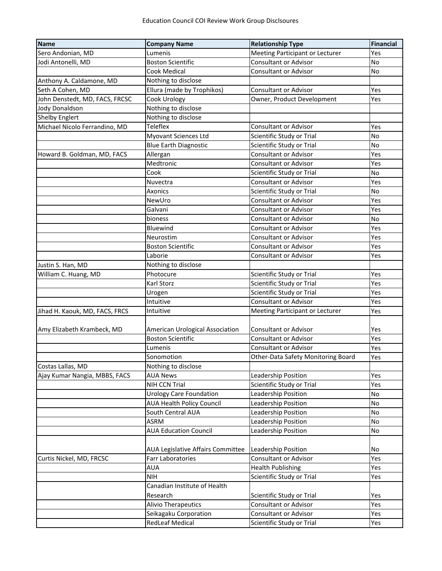| Name                           | <b>Company Name</b>               | <b>Relationship Type</b>           | <b>Financial</b> |
|--------------------------------|-----------------------------------|------------------------------------|------------------|
| Sero Andonian, MD              | Lumenis                           | Meeting Participant or Lecturer    | Yes              |
| Jodi Antonelli, MD             | <b>Boston Scientific</b>          | <b>Consultant or Advisor</b>       | No               |
|                                | <b>Cook Medical</b>               | <b>Consultant or Advisor</b>       | No               |
| Anthony A. Caldamone, MD       | Nothing to disclose               |                                    |                  |
| Seth A Cohen, MD               | Ellura (made by Trophikos)        | <b>Consultant or Advisor</b>       | Yes              |
| John Denstedt, MD, FACS, FRCSC | Cook Urology                      | Owner, Product Development         | Yes              |
| Jody Donaldson                 | Nothing to disclose               |                                    |                  |
| <b>Shelby Englert</b>          | Nothing to disclose               |                                    |                  |
| Michael Nicolo Ferrandino, MD  | Teleflex                          | <b>Consultant or Advisor</b>       | Yes              |
|                                | Myovant Sciences Ltd              | Scientific Study or Trial          | No               |
|                                | <b>Blue Earth Diagnostic</b>      | Scientific Study or Trial          | No               |
| Howard B. Goldman, MD, FACS    | Allergan                          | <b>Consultant or Advisor</b>       | Yes              |
|                                | Medtronic                         | <b>Consultant or Advisor</b>       | Yes              |
|                                | Cook                              | Scientific Study or Trial          | No               |
|                                | Nuvectra                          | <b>Consultant or Advisor</b>       | Yes              |
|                                | Axonics                           | Scientific Study or Trial          | No               |
|                                | NewUro                            | <b>Consultant or Advisor</b>       | Yes              |
|                                | Galvani                           | <b>Consultant or Advisor</b>       | Yes              |
|                                | bioness                           | <b>Consultant or Advisor</b>       | No               |
|                                | Bluewind                          | <b>Consultant or Advisor</b>       | Yes              |
|                                | Neurostim                         | <b>Consultant or Advisor</b>       | Yes              |
|                                | <b>Boston Scientific</b>          | <b>Consultant or Advisor</b>       | Yes              |
|                                | Laborie                           | <b>Consultant or Advisor</b>       | Yes              |
| Justin S. Han, MD              | Nothing to disclose               |                                    |                  |
| William C. Huang, MD           | Photocure                         | Scientific Study or Trial          | Yes              |
|                                | Karl Storz                        | Scientific Study or Trial          | Yes              |
|                                | Urogen                            | Scientific Study or Trial          | Yes              |
|                                | Intuitive                         | <b>Consultant or Advisor</b>       | Yes              |
| Jihad H. Kaouk, MD, FACS, FRCS | Intuitive                         | Meeting Participant or Lecturer    | Yes              |
|                                |                                   |                                    |                  |
| Amy Elizabeth Krambeck, MD     | American Urological Association   | <b>Consultant or Advisor</b>       | Yes              |
|                                | <b>Boston Scientific</b>          | <b>Consultant or Advisor</b>       | Yes              |
|                                | Lumenis                           | <b>Consultant or Advisor</b>       | Yes              |
|                                | Sonomotion                        | Other-Data Safety Monitoring Board | Yes              |
| Costas Lallas, MD              | Nothing to disclose               |                                    |                  |
| Ajay Kumar Nangia, MBBS, FACS  | <b>AUA News</b>                   | Leadership Position                | Yes              |
|                                | NIH CCN Trial                     | Scientific Study or Trial          | Yes              |
|                                | <b>Urology Care Foundation</b>    | Leadership Position                | No               |
|                                | AUA Health Policy Council         | Leadership Position                | No               |
|                                | South Central AUA                 | Leadership Position                | No               |
|                                | ASRM                              | Leadership Position                | No               |
|                                | <b>AUA Education Council</b>      | Leadership Position                | No               |
|                                |                                   |                                    |                  |
|                                | AUA Legislative Affairs Committee | Leadership Position                | No               |
| Curtis Nickel, MD, FRCSC       | Farr Laboratories                 | <b>Consultant or Advisor</b>       | Yes              |
|                                | <b>AUA</b>                        | <b>Health Publishing</b>           | Yes              |
|                                | <b>NIH</b>                        | Scientific Study or Trial          | Yes              |
|                                | Canadian Institute of Health      |                                    |                  |
|                                | Research                          | Scientific Study or Trial          | Yes              |
|                                | <b>Alivio Therapeutics</b>        | <b>Consultant or Advisor</b>       | Yes              |
|                                | Seikagaku Corporation             | <b>Consultant or Advisor</b>       | Yes              |
|                                | <b>RedLeaf Medical</b>            | Scientific Study or Trial          | Yes              |
|                                |                                   |                                    |                  |